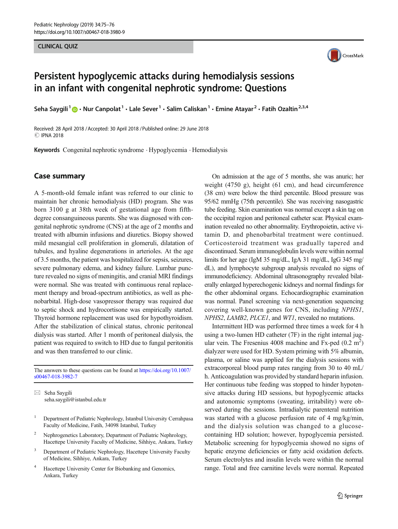# CLINICAL COMPANY



# Persistent hypoglycemic attacks during hemodialysis sessions in an infant with congenital nephrotic syndrome: Questions

Seha Saygili<sup>1</sup> **D** • Nur Canpolat<sup>1</sup> • Lale Sever<sup>1</sup> • Salim Caliskan<sup>1</sup> • Emine Atayar<sup>2</sup> • Fatih Ozaltin<sup>2,3,4</sup>

Received: 28 April 2018 /Accepted: 30 April 2018 /Published online: 29 June 2018 **C IPNA 2018** 

Keywords Congenital nephrotic syndrome . Hypoglycemia . Hemodialysis

### Case summary

A 5-month-old female infant was referred to our clinic to maintain her chronic hemodialysis (HD) program. She was born 3100 g at 38th week of gestational age from fifthdegree consanguineous parents. She was diagnosed with congenital nephrotic syndrome (CNS) at the age of 2 months and treated with albumin infusions and diuretics. Biopsy showed mild mesangial cell proliferation in glomeruli, dilatation of tubules, and hyaline degenerations in arterioles. At the age of 3.5 months, the patient was hospitalized for sepsis, seizures, severe pulmonary edema, and kidney failure. Lumbar puncture revealed no signs of meningitis, and cranial MRI findings were normal. She was treated with continuous renal replacement therapy and broad-spectrum antibiotics, as well as phenobarbital. High-dose vasopressor therapy was required due to septic shock and hydrocortisone was empirically started. Thyroid hormone replacement was used for hypothyroidism. After the stabilization of clinical status, chronic peritoneal dialysis was started. After 1 month of peritoneal dialysis, the patient was required to switch to HD due to fungal peritonitis and was then transferred to our clinic.

The answers to these questions can be found at [https://doi.org/10.1007/](https://doi.org/10.1007/s00467-018-3982-7) [s00467-018-3982-7](https://doi.org/10.1007/s00467-018-3982-7)

 $\boxtimes$  Seha Saygili [seha.saygili@istanbul.edu.tr](mailto:seha.saygili@istanbul.edu.tr)

- <sup>1</sup> Department of Pediatric Nephrology, Istanbul University Cerrahpasa Faculty of Medicine, Fatih, 34098 Istanbul, Turkey
- <sup>2</sup> Nephrogenetics Laboratory, Department of Pediatric Nephrology, Hacettepe University Faculty of Medicine, Sihhiye, Ankara, Turkey
- <sup>3</sup> Department of Pediatric Nephrology, Hacettepe University Faculty of Medicine, Sihhiye, Ankara, Turkey
- <sup>4</sup> Hacettepe University Center for Biobanking and Genomics, Ankara, Turkey

On admission at the age of 5 months, she was anuric; her weight (4750 g), height (61 cm), and head circumference (38 cm) were below the third percentile. Blood pressure was 95/62 mmHg (75th percentile). She was receiving nasogastric tube feeding. Skin examination was normal except a skin tag on the occipital region and peritoneal catheter scar. Physical examination revealed no other abnormality. Erythropoietin, active vitamin D, and phenobarbital treatment were continued. Corticosteroid treatment was gradually tapered and discontinued. Serum immunoglobulin levels were within normal limits for her age (IgM 35 mg/dL, IgA 31 mg/dL, IgG 345 mg/ dL), and lymphocyte subgroup analysis revealed no signs of immunodeficiency. Abdominal ultrasonography revealed bilaterally enlarged hyperechogenic kidneys and normal findings for the other abdominal organs. Echocardiographic examination was normal. Panel screening via next-generation sequencing covering well-known genes for CNS, including NPHS1, NPHS2, LAMB2, PLCE1, and WT1, revealed no mutations.

Intermittent HD was performed three times a week for 4 h using a two-lumen HD catheter (7F) in the right internal jugular vein. The Fresenius 4008 machine and Fx-ped  $(0.2 \text{ m}^2)$ dialyzer were used for HD. System priming with 5% albumin, plasma, or saline was applied for the dialysis sessions with extracorporeal blood pump rates ranging from 30 to 40 mL/ h. Anticoagulation was provided by standard heparin infusion. Her continuous tube feeding was stopped to hinder hypotensive attacks during HD sessions, but hypoglycemic attacks and autonomic symptoms (sweating, irritability) were observed during the sessions. Intradialytic parenteral nutrition was started with a glucose perfusion rate of 4 mg/kg/min, and the dialysis solution was changed to a glucosecontaining HD solution; however, hypoglycemia persisted. Metabolic screening for hypoglycemia showed no signs of hepatic enzyme deficiencies or fatty acid oxidation defects. Serum electrolytes and insulin levels were within the normal range. Total and free carnitine levels were normal. Repeated